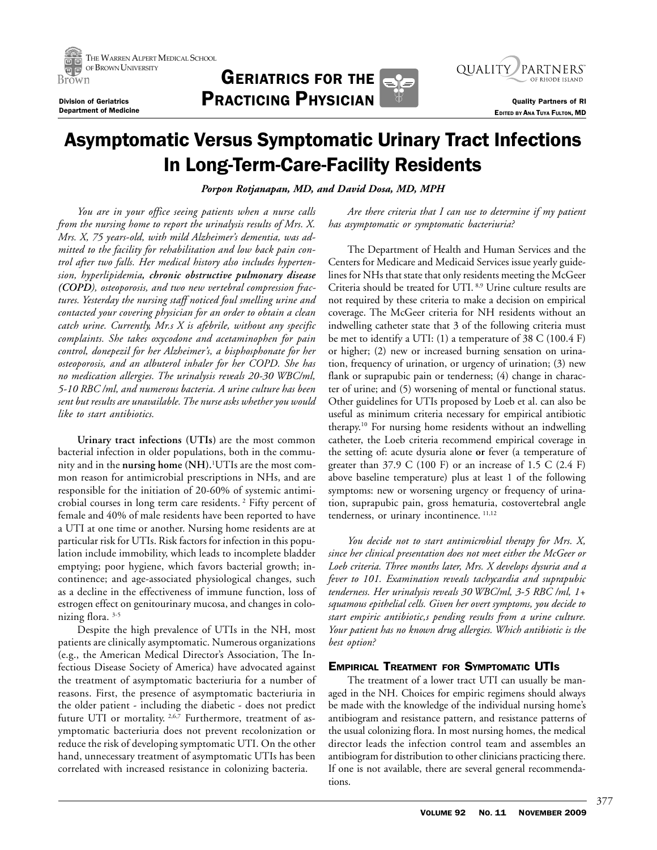





**EDITED BY ANA TUYA FULTON, MD** 

# Asymptomatic Versus Symptomatic Urinary Tract Infections In Long-Term-Care-Facility Residents

*Porpon Rotjanapan, MD, and David Dosa, MD, MPH*

*You are in your office seeing patients when a nurse calls from the nursing home to report the urinalysis results of Mrs. X. Mrs. X, 75 years-old, with mild Alzheimer's dementia, was admitted to the facility for rehabilitation and low back pain control after two falls. Her medical history also includes hypertension, hyperlipidemia, chronic obstructive pulmonary disease (COPD), osteoporosis, and two new vertebral compression fractures. Yesterday the nursing staff noticed foul smelling urine and contacted your covering physician for an order to obtain a clean catch urine. Currently, Mr.s X is afebrile, without any specific complaints. She takes oxycodone and acetaminophen for pain control, donepezil for her Alzheimer's, a bisphosphonate for her osteoporosis, and an albuterol inhaler for her COPD. She has no medication allergies. The urinalysis reveals 20-30 WBC/ml, 5-10 RBC /ml, and numerous bacteria. A urine culture has been sent but results are unavailable. The nurse asks whether you would like to start antibiotics.*

**Urinary tract infections (UTIs)** are the most common bacterial infection in older populations, both in the community and in the **nursing home (NH).**<sup>1</sup> UTIs are the most common reason for antimicrobial prescriptions in NHs, and are responsible for the initiation of 20-60% of systemic antimicrobial courses in long term care residents. 2 Fifty percent of female and 40% of male residents have been reported to have a UTI at one time or another. Nursing home residents are at particular risk for UTIs. Risk factors for infection in this population include immobility, which leads to incomplete bladder emptying; poor hygiene, which favors bacterial growth; incontinence; and age-associated physiological changes, such as a decline in the effectiveness of immune function, loss of estrogen effect on genitourinary mucosa, and changes in colonizing flora. 3-5

Despite the high prevalence of UTIs in the NH, most patients are clinically asymptomatic. Numerous organizations (e.g., the American Medical Director's Association, The Infectious Disease Society of America) have advocated against the treatment of asymptomatic bacteriuria for a number of reasons. First, the presence of asymptomatic bacteriuria in the older patient - including the diabetic - does not predict future UTI or mortality.<sup>2,6,7</sup> Furthermore, treatment of asymptomatic bacteriuria does not prevent recolonization or reduce the risk of developing symptomatic UTI. On the other hand, unnecessary treatment of asymptomatic UTIs has been correlated with increased resistance in colonizing bacteria.

*Are there criteria that I can use to determine if my patient has asymptomatic or symptomatic bacteriuria?*

The Department of Health and Human Services and the Centers for Medicare and Medicaid Services issue yearly guidelines for NHs that state that only residents meeting the McGeer Criteria should be treated for UTI. 8,9 Urine culture results are not required by these criteria to make a decision on empirical coverage. The McGeer criteria for NH residents without an indwelling catheter state that 3 of the following criteria must be met to identify a UTI: (1) a temperature of 38 C (100.4 F) or higher; (2) new or increased burning sensation on urination, frequency of urination, or urgency of urination; (3) new flank or suprapubic pain or tenderness; (4) change in character of urine; and (5) worsening of mental or functional status. Other guidelines for UTIs proposed by Loeb et al. can also be useful as minimum criteria necessary for empirical antibiotic therapy.10 For nursing home residents without an indwelling catheter, the Loeb criteria recommend empirical coverage in the setting of: acute dysuria alone **or** fever (a temperature of greater than  $37.9 \text{ C } (100 \text{ F})$  or an increase of  $1.5 \text{ C } (2.4 \text{ F})$ above baseline temperature) plus at least 1 of the following symptoms: new or worsening urgency or frequency of urination, suprapubic pain, gross hematuria, costovertebral angle tenderness, or urinary incontinence.  $^{11,12}$ 

*You decide not to start antimicrobial therapy for Mrs. X, since her clinical presentation does not meet either the McGeer or Loeb criteria. Three months later, Mrs. X develops dysuria and a fever to 101. Examination reveals tachycardia and suprapubic tenderness. Her urinalysis reveals 30 WBC/ml, 3-5 RBC /ml, 1+ squamous epithelial cells. Given her overt symptoms, you decide to start empiric antibiotic,s pending results from a urine culture. Your patient has no known drug allergies. Which antibiotic is the best option?*

# EMPIRICAL TREATMENT FOR SYMPTOMATIC UTIS

The treatment of a lower tract UTI can usually be managed in the NH. Choices for empiric regimens should always be made with the knowledge of the individual nursing home's antibiogram and resistance pattern, and resistance patterns of the usual colonizing flora. In most nursing homes, the medical director leads the infection control team and assembles an antibiogram for distribution to other clinicians practicing there. If one is not available, there are several general recommendations.

377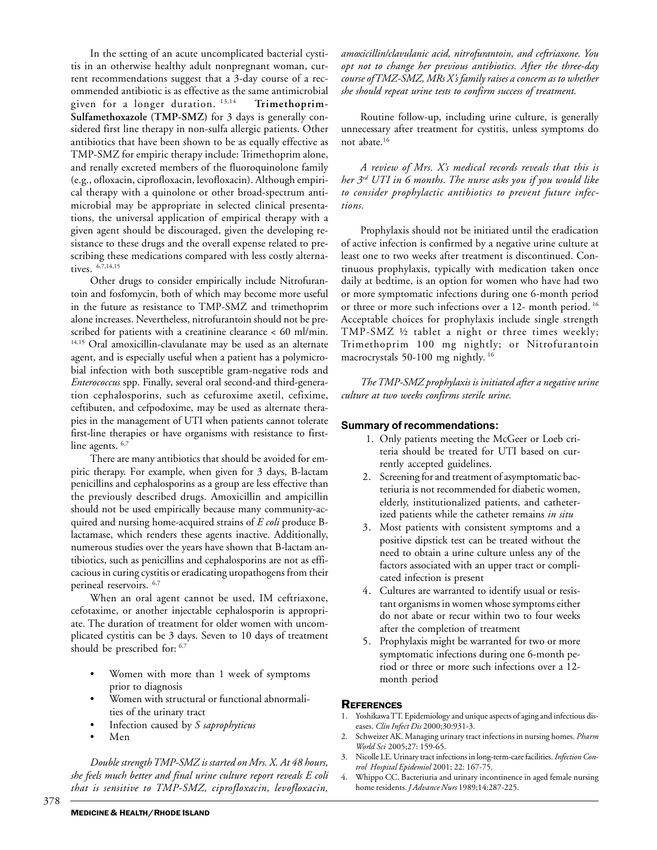In the setting of an acute uncomplicated bacterial cystitis in an otherwise healthy adult nonpregnant woman, current recommendations suggest that a 3-day course of a recommended antibiotic is as effective as the same antimicrobial given for a longer duration. 13,14 **Trimethoprim-Sulfamethoxazole (TMP-SMZ)** for 3 days is generally considered first line therapy in non-sulfa allergic patients. Other antibiotics that have been shown to be as equally effective as TMP-SMZ for empiric therapy include: Trimethoprim alone, and renally excreted members of the fluoroquinolone family (e.g., ofloxacin, ciprofloxacin, levofloxacin). Although empirical therapy with a quinolone or other broad-spectrum antimicrobial may be appropriate in selected clinical presentations, the universal application of empirical therapy with a given agent should be discouraged, given the developing resistance to these drugs and the overall expense related to prescribing these medications compared with less costly alternatives.  $6,7,14,15$ 

Other drugs to consider empirically include Nitrofurantoin and fosfomycin, both of which may become more useful in the future as resistance to TMP-SMZ and trimethoprim alone increases. Nevertheless, nitrofurantoin should not be prescribed for patients with a creatinine clearance < 60 ml/min. <sup>14,15</sup> Oral amoxicillin-clavulanate may be used as an alternate agent, and is especially useful when a patient has a polymicrobial infection with both susceptible gram-negative rods and *Enterococcus* spp. Finally, several oral second-and third-generation cephalosporins, such as cefuroxime axetil, cefixime, ceftibuten, and cefpodoxime, may be used as alternate therapies in the management of UTI when patients cannot tolerate first-line therapies or have organisms with resistance to firstline agents. <sup>6,7</sup>

There are many antibiotics that should be avoided for empiric therapy. For example, when given for 3 days, B-lactam penicillins and cephalosporins as a group are less effective than the previously described drugs. Amoxicillin and ampicillin should not be used empirically because many community-acquired and nursing home-acquired strains of *E coli* produce Blactamase, which renders these agents inactive. Additionally, numerous studies over the years have shown that B-lactam antibiotics, such as penicillins and cephalosporins are not as efficacious in curing cystitis or eradicating uropathogens from their perineal reservoirs. 6,7

When an oral agent cannot be used, IM ceftriaxone, cefotaxime, or another injectable cephalosporin is appropriate. The duration of treatment for older women with uncomplicated cystitis can be 3 days. Seven to 10 days of treatment should be prescribed for: 6,7

- Women with more than 1 week of symptoms prior to diagnosis
- Women with structural or functional abnormalities of the urinary tract
- Infection caused by *S saprophyticus*
- Men

*Double strength TMP-SMZ is started on Mrs. X. At 48 hours, she feels much better and final urine culture report reveals E coli that is sensitive to TMP-SMZ, ciprofloxacin, levofloxacin,* *amoxicillin/clavulanic acid, nitrofurantoin, and ceftriaxone. You opt not to change her previous antibiotics. After the three-day course of TMZ-SMZ, MRs X's family raises a concern as to whether she should repeat urine tests to confirm success of treatment.*

Routine follow-up, including urine culture, is generally unnecessary after treatment for cystitis, unless symptoms do not abate.16

*A review of Mrs. X's medical records reveals that this is her 3rd UTI in 6 months. The nurse asks you if you would like to consider prophylactic antibiotics to prevent future infections.*

Prophylaxis should not be initiated until the eradication of active infection is confirmed by a negative urine culture at least one to two weeks after treatment is discontinued. Continuous prophylaxis, typically with medication taken once daily at bedtime, is an option for women who have had two or more symptomatic infections during one 6-month period or three or more such infections over a 12- month period. 16 Acceptable choices for prophylaxis include single strength TMP-SMZ ½ tablet a night or three times weekly; Trimethoprim 100 mg nightly; or Nitrofurantoin macrocrystals 50-100 mg nightly. 16

*The TMP-SMZ prophylaxis is initiated after a negative urine culture at two weeks confirms sterile urine.*

### **Summary of recommendations:**

- 1. Only patients meeting the McGeer or Loeb criteria should be treated for UTI based on currently accepted guidelines.
- 2. Screening for and treatment of asymptomatic bacteriuria is not recommended for diabetic women, elderly, institutionalized patients, and catheterized patients while the catheter remains *in situ*
- 3. Most patients with consistent symptoms and a positive dipstick test can be treated without the need to obtain a urine culture unless any of the factors associated with an upper tract or complicated infection is present
- 4. Cultures are warranted to identify usual or resistant organisms in women whose symptoms either do not abate or recur within two to four weeks after the completion of treatment
- 5. Prophylaxis might be warranted for two or more symptomatic infections during one 6-month period or three or more such infections over a 12 month period

# **REFERENCES**

- 1. Yoshikawa TT. Epidemiology and unique aspects of aging and infectious diseases. *Clin Infect Dis* 2000;30:931-3.
- 2. Schweizer AK. Managing urinary tract infections in nursing homes. *Pharm World Sci* 2005;27: 159-65.
- 3. Nicolle LE. Urinary tract infections in long-term-care facilities. *Infection Control Hospital Epidemiol* 2001; 22: 167-75.
- 4. Whippo CC. Bacteriuria and urinary incontinence in aged female nursing home residents. *J Advance Nurs* 1989;14:287-225.